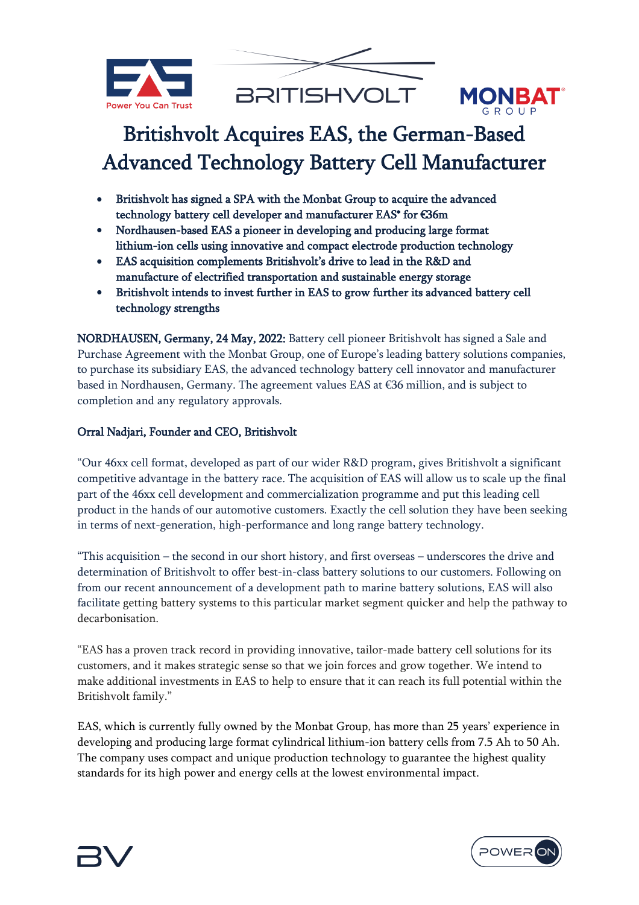



# Britishvolt Acquires EAS, the German-Based Advanced Technology Battery Cell Manufacturer

- Britishvolt has signed a SPA with the Monbat Group to acquire the advanced technology battery cell developer and manufacturer EAS\* for €36m
- Nordhausen-based EAS a pioneer in developing and producing large format lithium-ion cells using innovative and compact electrode production technology
- EAS acquisition complements Britishvolt's drive to lead in the R&D and manufacture of electrified transportation and sustainable energy storage
- Britishvolt intends to invest further in EAS to grow further its advanced battery cell technology strengths

NORDHAUSEN, Germany, 24 May, 2022: Battery cell pioneer Britishvolt has signed a Sale and Purchase Agreement with the Monbat Group, one of Europe's leading battery solutions companies, to purchase its subsidiary EAS, the advanced technology battery cell innovator and manufacturer based in Nordhausen, Germany. The agreement values EAS at €36 million, and is subject to completion and any regulatory approvals.

# Orral Nadjari, Founder and CEO, Britishvolt

"Our 46xx cell format, developed as part of our wider R&D program, gives Britishvolt a significant competitive advantage in the battery race. The acquisition of EAS will allow us to scale up the final part of the 46xx cell development and commercialization programme and put this leading cell product in the hands of our automotive customers. Exactly the cell solution they have been seeking in terms of next-generation, high-performance and long range battery technology.

"This acquisition – the second in our short history, and first overseas – underscores the drive and determination of Britishvolt to offer best-in-class battery solutions to our customers. Following on from our recent announcement of a development path to marine battery solutions, EAS will also facilitate getting battery systems to this particular market segment quicker and help the pathway to decarbonisation.

"EAS has a proven track record in providing innovative, tailor-made battery cell solutions for its customers, and it makes strategic sense so that we join forces and grow together. We intend to make additional investments in EAS to help to ensure that it can reach its full potential within the Britishvolt family."

EAS, which is currently fully owned by the Monbat Group, has more than 25 years' experience in developing and producing large format cylindrical lithium-ion battery cells from 7.5 Ah to 50 Ah. The company uses compact and unique production technology to guarantee the highest quality standards for its high power and energy cells at the lowest environmental impact.



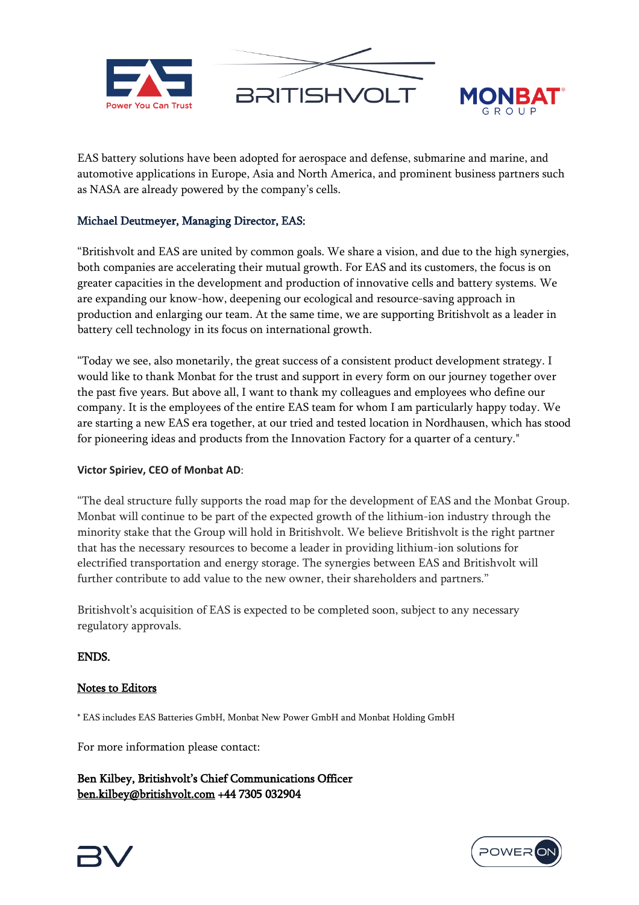



EAS battery solutions have been adopted for aerospace and defense, submarine and marine, and automotive applications in Europe, Asia and North America, and prominent business partners such as NASA are already powered by the company's cells.

# Michael Deutmeyer, Managing Director, EAS:

"Britishvolt and EAS are united by common goals. We share a vision, and due to the high synergies, both companies are accelerating their mutual growth. For EAS and its customers, the focus is on greater capacities in the development and production of innovative cells and battery systems. We are expanding our know-how, deepening our ecological and resource-saving approach in production and enlarging our team. At the same time, we are supporting Britishvolt as a leader in battery cell technology in its focus on international growth.

"Today we see, also monetarily, the great success of a consistent product development strategy. I would like to thank Monbat for the trust and support in every form on our journey together over the past five years. But above all, I want to thank my colleagues and employees who define our company. It is the employees of the entire EAS team for whom I am particularly happy today. We are starting a new EAS era together, at our tried and tested location in Nordhausen, which has stood for pioneering ideas and products from the Innovation Factory for a quarter of a century."

## **Victor Spiriev, CEO of Monbat AD**:

"The deal structure fully supports the road map for the development of EAS and the Monbat Group. Monbat will continue to be part of the expected growth of the lithium-ion industry through the minority stake that the Group will hold in Britishvolt. We believe Britishvolt is the right partner that has the necessary resources to become a leader in providing lithium-ion solutions for electrified transportation and energy storage. The synergies between EAS and Britishvolt will further contribute to add value to the new owner, their shareholders and partners."

Britishvolt's acquisition of EAS is expected to be completed soon, subject to any necessary regulatory approvals.

## ENDS.

## Notes to Editors

\* EAS includes EAS Batteries GmbH, Monbat New Power GmbH and Monbat Holding GmbH

For more information please contact:

Ben Kilbey, Britishvolt's Chief Communications Officer [ben.kilbey@britishvolt.com](http://ben.kilbey@britishvolt.com) +44 7305 032904



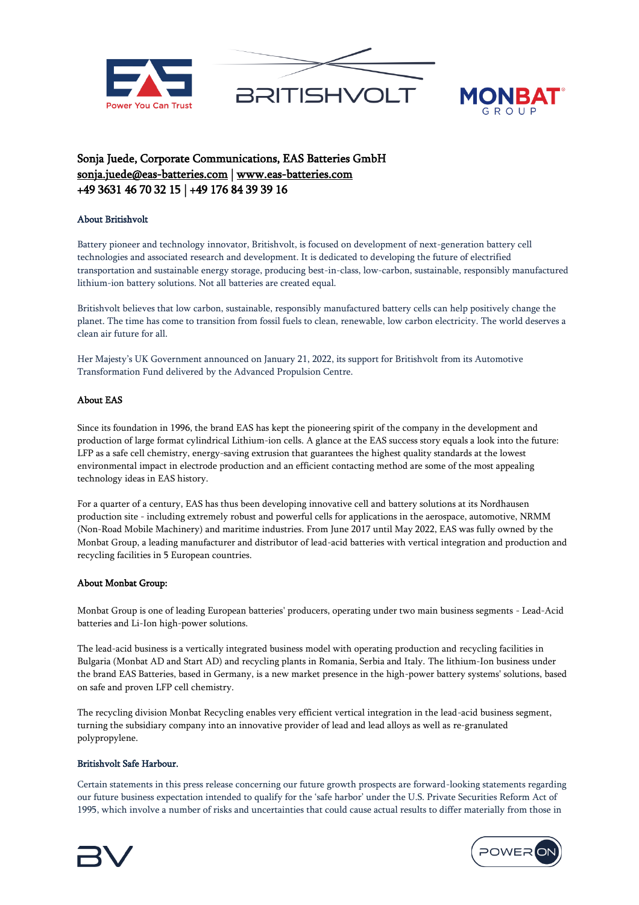



# Sonja Juede, Corporate Communications, EAS Batteries GmbH [sonja.juede@eas-batteries.com](mailto:sonja.juede@eas-batteries.com) | [www.eas-batteries.com](http://www.eas-batteries.com/)  +49 3631 46 70 32 15 | +49 176 84 39 39 16

### About Britishvolt

Battery pioneer and technology innovator, Britishvolt, is focused on development of next-generation battery cell technologies and associated research and development. It is dedicated to developing the future of electrified transportation and sustainable energy storage, producing best-in-class, low-carbon, sustainable, responsibly manufactured lithium-ion battery solutions. Not all batteries are created equal.

Britishvolt believes that low carbon, sustainable, responsibly manufactured battery cells can help positively change the planet. The time has come to transition from fossil fuels to clean, renewable, low carbon electricity. The world deserves a clean air future for all.

Her Majesty's UK Government announced on January 21, 2022, its support for Britishvolt from its Automotive Transformation Fund delivered by the Advanced Propulsion Centre.

### About EAS

Since its foundation in 1996, the brand EAS has kept the pioneering spirit of the company in the development and production of large format cylindrical Lithium-ion cells. A glance at the EAS success story equals a look into the future: LFP as a safe cell chemistry, energy-saving extrusion that guarantees the highest quality standards at the lowest environmental impact in electrode production and an efficient contacting method are some of the most appealing technology ideas in EAS history.

For a quarter of a century, EAS has thus been developing innovative cell and battery solutions at its Nordhausen production site - including extremely robust and powerful cells for applications in the aerospace, automotive, NRMM (Non-Road Mobile Machinery) and maritime industries. From June 2017 until May 2022, EAS was fully owned by the Monbat Group, a leading manufacturer and distributor of lead-acid batteries with vertical integration and production and recycling facilities in 5 European countries.

### About Monbat Group:

Monbat Group is one of leading European batteries' producers, operating under two main business segments - Lead-Acid batteries and Li-Ion high-power solutions.

The lead-acid business is a vertically integrated business model with operating production and recycling facilities in Bulgaria (Monbat AD and Start AD) and recycling plants in Romania, Serbia and Italy. The lithium-Ion business under the brand EAS Batteries, based in Germany, is a new market presence in the high-power battery systems' solutions, based on safe and proven LFP cell chemistry.

The recycling division Monbat Recycling enables very efficient vertical integration in the lead-acid business segment, turning the subsidiary company into an innovative provider of lead and lead alloys as well as re-granulated polypropylene.

### Britishvolt Safe Harbour.

Certain statements in this press release concerning our future growth prospects are forward-looking statements regarding our future business expectation intended to qualify for the 'safe harbor' under the U.S. Private Securities Reform Act of 1995, which involve a number of risks and uncertainties that could cause actual results to differ materially from those in